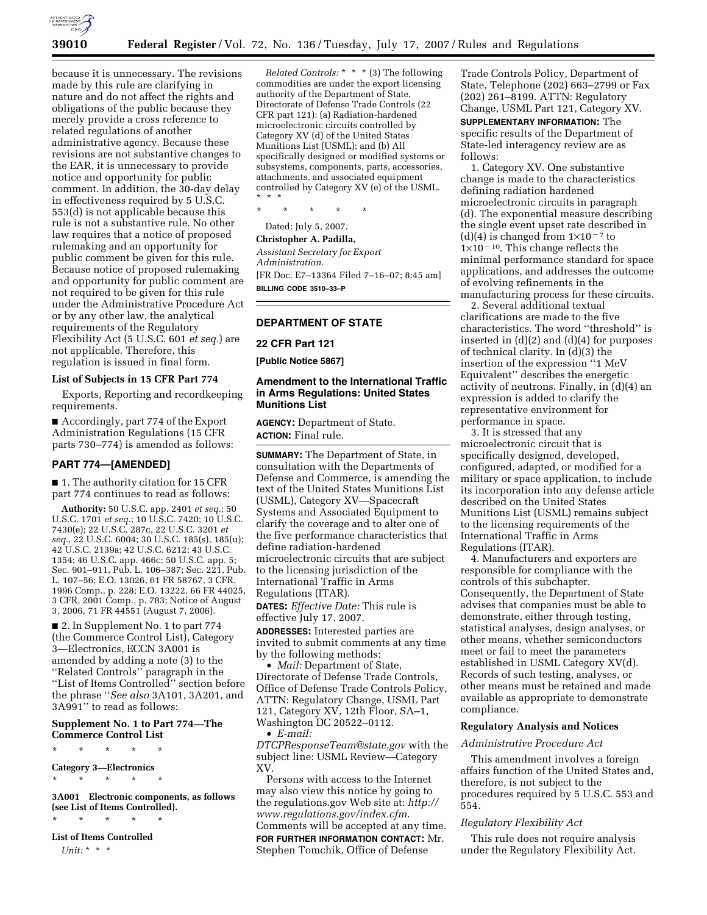

because it is unnecessary. The revisions made by this rule are clarifying in nature and do not affect the rights and obligations of the public because they merely provide a cross reference to related regulations of another administrative agency. Because these revisions are not substantive changes to the EAR, it is unnecessary to provide notice and opportunity for public comment. In addition, the 30-day delay in effectiveness required by 5 U.S.C. 553(d) is not applicable because this rule is not a substantive rule. No other law requires that a notice of proposed rulemaking and an opportunity for public comment be given for this rule. Because notice of proposed rulemaking and opportunity for public comment are not required to be given for this rule under the Administrative Procedure Act or by any other law, the analytical requirements of the Regulatory Flexibility Act (5 U.S.C. 601 *et seq.*) are not applicable. Therefore, this regulation is issued in final form.

# **List of Subjects in 15 CFR Part 774**

Exports, Reporting and recordkeeping requirements.

■ Accordingly, part 774 of the Export Administration Regulations (15 CFR parts 730–774) is amended as follows:

## **PART 774—[AMENDED]**

■ 1. The authority citation for 15 CFR part 774 continues to read as follows:

**Authority:** 50 U.S.C. app. 2401 *et seq.*; 50 U.S.C. 1701 *et seq.*; 10 U.S.C. 7420; 10 U.S.C. 7430(e); 22 U.S.C. 287c, 22 U.S.C. 3201 *et seq.*, 22 U.S.C. 6004; 30 U.S.C. 185(s), 185(u); 42 U.S.C. 2139a; 42 U.S.C. 6212; 43 U.S.C. 1354; 46 U.S.C. app. 466c; 50 U.S.C. app. 5; Sec. 901–911, Pub. L. 106–387; Sec. 221, Pub. L. 107–56; E.O. 13026, 61 FR 58767, 3 CFR, 1996 Comp., p. 228; E.O. 13222, 66 FR 44025, 3 CFR, 2001 Comp., p. 783; Notice of August 3, 2006, 71 FR 44551 (August 7, 2006).

■ 2. In Supplement No. 1 to part 774 (the Commerce Control List), Category 3—Electronics, ECCN 3A001 is amended by adding a note (3) to the ''Related Controls'' paragraph in the ''List of Items Controlled'' section before the phrase ''*See also* 3A101, 3A201, and 3A991'' to read as follows:

# **Supplement No. 1 to Part 774—The Commerce Control List**

\* \* \* \* \*

**Category 3—Electronics** 

\* \* \* \* \*

**3A001 Electronic components, as follows (see List of Items Controlled).**  \* \* \* \* \*

**List of Items Controlled**  *Unit:* \* \* \*

*Related Controls:* \* \* \* (3) The following commodities are under the export licensing authority of the Department of State, Directorate of Defense Trade Controls (22 CFR part 121): (a) Radiation-hardened microelectronic circuits controlled by Category XV (d) of the United States Munitions List (USML); and (b) All specifically designed or modified systems or subsystems, components, parts, accessories, attachments, and associated equipment controlled by Category XV (e) of the USML. \* \* \*

\* \* \* \* \*

# Dated: July 5, 2007.

**Christopher A. Padilla,**  *Assistant Secretary for Export Administration.*  [FR Doc. E7–13364 Filed 7–16–07; 8:45 am] **BILLING CODE 3510–33–P** 

# **DEPARTMENT OF STATE**

#### **22 CFR Part 121**

**[Public Notice 5867]** 

# **Amendment to the International Traffic in Arms Regulations: United States Munitions List**

**AGENCY:** Department of State. **ACTION:** Final rule.

**SUMMARY:** The Department of State, in consultation with the Departments of Defense and Commerce, is amending the text of the United States Munitions List (USML), Category XV—Spacecraft Systems and Associated Equipment to clarify the coverage and to alter one of the five performance characteristics that define radiation-hardened microelectronic circuits that are subject to the licensing jurisdiction of the International Traffic in Arms Regulations (ITAR).

**DATES:** *Effective Date:* This rule is effective July 17, 2007.

**ADDRESSES:** Interested parties are invited to submit comments at any time by the following methods:

• *Mail:* Department of State, Directorate of Defense Trade Controls, Office of Defense Trade Controls Policy, ATTN: Regulatory Change, USML Part 121, Category XV, 12th Floor, SA–1, Washington DC 20522–0112. • *E-mail:* 

*DTCPResponseTeam@state.gov* with the subject line: USML Review—Category XV.

Persons with access to the Internet may also view this notice by going to the regulations.gov Web site at: *http:// www.regulations.gov/index.cfm*. Comments will be accepted at any time. **FOR FURTHER INFORMATION CONTACT:** Mr. Stephen Tomchik, Office of Defense

Trade Controls Policy, Department of State, Telephone (202) 663–2799 or Fax (202) 261–8199. ATTN: Regulatory Change, USML Part 121, Category XV.

**SUPPLEMENTARY INFORMATION:** The specific results of the Department of State-led interagency review are as follows:

1. Category XV. One substantive change is made to the characteristics defining radiation hardened microelectronic circuits in paragraph (d). The exponential measure describing the single event upset rate described in (d)(4) is changed from  $1 \times 10^{-7}$  to  $1\times10^{-10}.$  This change reflects the minimal performance standard for space applications, and addresses the outcome of evolving refinements in the manufacturing process for these circuits.

2. Several additional textual clarifications are made to the five characteristics. The word ''threshold'' is inserted in (d)(2) and (d)(4) for purposes of technical clarity. In (d)(3) the insertion of the expression ''1 MeV Equivalent'' describes the energetic activity of neutrons. Finally, in (d)(4) an expression is added to clarify the representative environment for performance in space.

3. It is stressed that any microelectronic circuit that is specifically designed, developed, configured, adapted, or modified for a military or space application, to include its incorporation into any defense article described on the United States Munitions List (USML) remains subject to the licensing requirements of the International Traffic in Arms Regulations (ITAR).

4. Manufacturers and exporters are responsible for compliance with the controls of this subchapter. Consequently, the Department of State advises that companies must be able to demonstrate, either through testing, statistical analyses, design analyses, or other means, whether semiconductors meet or fail to meet the parameters established in USML Category XV(d). Records of such testing, analyses, or other means must be retained and made available as appropriate to demonstrate compliance.

## **Regulatory Analysis and Notices**

## *Administrative Procedure Act*

This amendment involves a foreign affairs function of the United States and, therefore, is not subject to the procedures required by 5 U.S.C. 553 and 554.

## *Regulatory Flexibility Act*

This rule does not require analysis under the Regulatory Flexibility Act.